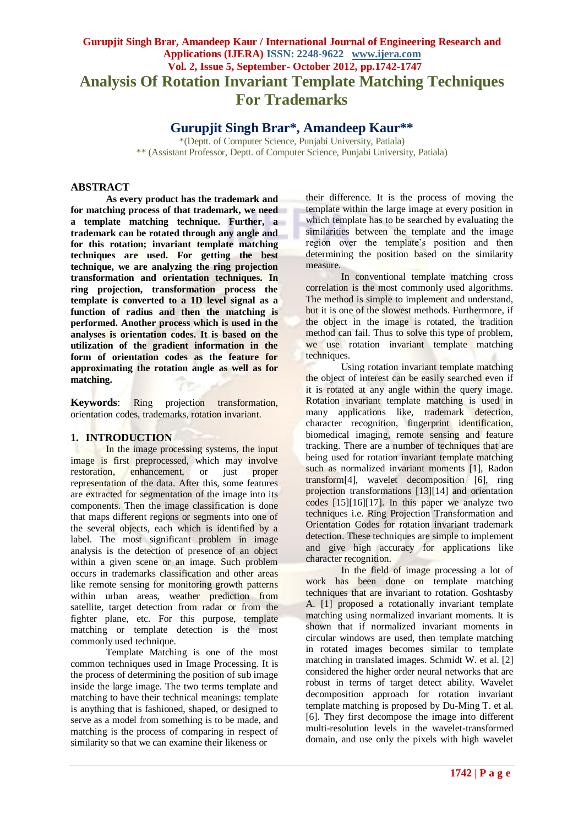# **Gurupjit Singh Brar, Amandeep Kaur / International Journal of Engineering Research and Applications (IJERA) ISSN: 2248-9622 www.ijera.com Vol. 2, Issue 5, September- October 2012, pp.1742-1747 Analysis Of Rotation Invariant Template Matching Techniques For Trademarks**

**Gurupjit Singh Brar\*, Amandeep Kaur\*\***

\*(Deptt. of Computer Science, Punjabi University, Patiala) \*\* (Assistant Professor, Deptt. of Computer Science, Punjabi University, Patiala)

## **ABSTRACT**

**As every product has the trademark and for matching process of that trademark, we need a template matching technique. Further, a trademark can be rotated through any angle and for this rotation; invariant template matching techniques are used. For getting the best technique, we are analyzing the ring projection transformation and orientation techniques. In ring projection, transformation process the template is converted to a 1D level signal as a function of radius and then the matching is performed. Another process which is used in the analyses is orientation codes. It is based on the utilization of the gradient information in the form of orientation codes as the feature for approximating the rotation angle as well as for matching.**

**Keywords**: Ring projection transformation, orientation codes, trademarks, rotation invariant.

### **1. INTRODUCTION**

In the image processing systems, the input image is first preprocessed, which may involve restoration, enhancement, or just proper representation of the data. After this, some features are extracted for segmentation of the image into its components. Then the image classification is done that maps different regions or segments into one of the several objects, each which is identified by a label. The most significant problem in image analysis is the detection of presence of an object within a given scene or an image. Such problem occurs in trademarks classification and other areas like remote sensing for monitoring growth patterns within urban areas, weather prediction from satellite, target detection from radar or from the fighter plane, etc. For this purpose, template matching or template detection is the most commonly used technique.

Template Matching is one of the most common techniques used in Image Processing. It is the process of determining the position of sub image inside the large image. The two terms template and matching to have their technical meanings: template is anything that is fashioned, shaped, or designed to serve as a model from something is to be made, and matching is the process of comparing in respect of similarity so that we can examine their likeness or

their difference. It is the process of moving the template within the large image at every position in which template has to be searched by evaluating the similarities between the template and the image region over the template's position and then determining the position based on the similarity measure.

In conventional template matching cross correlation is the most commonly used algorithms. The method is simple to implement and understand, but it is one of the slowest methods. Furthermore, if the object in the image is rotated, the tradition method can fail. Thus to solve this type of problem. we use rotation invariant template matching techniques.

Using rotation invariant template matching the object of interest can be easily searched even if it is rotated at any angle within the query image. Rotation invariant template matching is used in many applications like, trademark detection, character recognition, fingerprint identification, biomedical imaging, remote sensing and feature tracking. There are a number of techniques that are being used for rotation invariant template matching such as normalized invariant moments [1], Radon transform[4], wavelet decomposition [6], ring projection transformations [13][14] and orientation codes [15][16][17]. In this paper we analyze two techniques i.e. Ring Projection Transformation and Orientation Codes for rotation invariant trademark detection. These techniques are simple to implement and give high accuracy for applications like character recognition.

In the field of image processing a lot of work has been done on template matching techniques that are invariant to rotation. Goshtasby A. [1] proposed a rotationally invariant template matching using normalized invariant moments. It is shown that if normalized invariant moments in circular windows are used, then template matching in rotated images becomes similar to template matching in translated images. Schmidt W. et al. [2] considered the higher order neural networks that are robust in terms of target detect ability. Wavelet decomposition approach for rotation invariant template matching is proposed by Du-Ming T. et al. [6]. They first decompose the image into different multi-resolution levels in the wavelet-transformed domain, and use only the pixels with high wavelet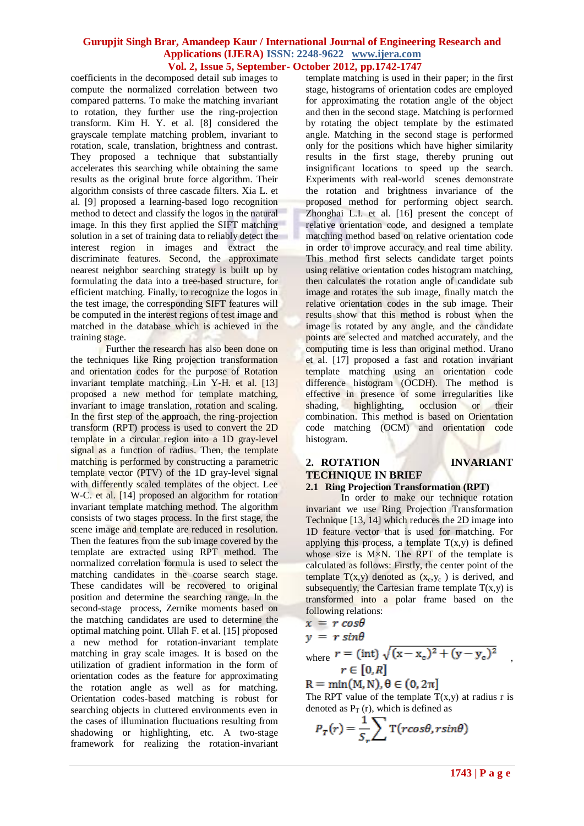coefficients in the decomposed detail sub images to compute the normalized correlation between two compared patterns. To make the matching invariant to rotation, they further use the ring-projection transform. Kim H. Y. et al. [8] considered the grayscale template matching problem, invariant to rotation, scale, translation, brightness and contrast. They proposed a technique that substantially accelerates this searching while obtaining the same results as the original brute force algorithm. Their algorithm consists of three cascade filters. Xia L. et al. [9] proposed a learning-based logo recognition method to detect and classify the logos in the natural image. In this they first applied the SIFT matching solution in a set of training data to reliably detect the interest region in images and extract the discriminate features. Second, the approximate nearest neighbor searching strategy is built up by formulating the data into a tree-based structure, for efficient matching. Finally, to recognize the logos in the test image, the corresponding SIFT features will be computed in the interest regions of test image and matched in the database which is achieved in the training stage.

Further the research has also been done on the techniques like Ring projection transformation and orientation codes for the purpose of Rotation invariant template matching. Lin Y-H, et al. [13] proposed a new method for template matching, invariant to image translation, rotation and scaling. In the first step of the approach, the ring-projection transform (RPT) process is used to convert the 2D template in a circular region into a 1D gray-level signal as a function of radius. Then, the template matching is performed by constructing a parametric template vector (PTV) of the 1D gray-level signal with differently scaled templates of the object. Lee W-C. et al. [14] proposed an algorithm for rotation invariant template matching method. The algorithm consists of two stages process. In the first stage, the scene image and template are reduced in resolution. Then the features from the sub image covered by the template are extracted using RPT method. The normalized correlation formula is used to select the matching candidates in the coarse search stage. These candidates will be recovered to original position and determine the searching range. In the second-stage process, Zernike moments based on the matching candidates are used to determine the optimal matching point. Ullah F. et al. [15] proposed a new method for rotation-invariant template matching in gray scale images. It is based on the utilization of gradient information in the form of orientation codes as the feature for approximating the rotation angle as well as for matching. Orientation codes-based matching is robust for searching objects in cluttered environments even in the cases of illumination fluctuations resulting from shadowing or highlighting, etc. A two-stage framework for realizing the rotation-invariant template matching is used in their paper; in the first stage, histograms of orientation codes are employed for approximating the rotation angle of the object and then in the second stage. Matching is performed by rotating the object template by the estimated angle. Matching in the second stage is performed only for the positions which have higher similarity results in the first stage, thereby pruning out insignificant locations to speed up the search. Experiments with real-world scenes demonstrate the rotation and brightness invariance of the proposed method for performing object search. Zhonghai L.I. et al. [16] present the concept of relative orientation code, and designed a template matching method based on relative orientation code in order to improve accuracy and real time ability. This method first selects candidate target points using relative orientation codes histogram matching, then calculates the rotation angle of candidate sub image and rotates the sub image, finally match the relative orientation codes in the sub image. Their results show that this method is robust when the image is rotated by any angle, and the candidate points are selected and matched accurately, and the computing time is less than original method. Urano et al. [17] proposed a fast and rotation invariant template matching using an orientation code difference histogram (OCDH). The method is effective in presence of some irregularities like shading, highlighting, occlusion or their combination. This method is based on Orientation code matching (OCM) and orientation code histogram.

### **2. ROTATION INVARIANT TECHNIQUE IN BRIEF 2.1 Ring Projection Transformation (RPT)**

In order to make our technique rotation invariant we use Ring Projection Transformation Technique [13, 14] which reduces the 2D image into 1D feature vector that is used for matching. For applying this process, a template  $T(x,y)$  is defined whose size is  $M \times N$ . The RPT of the template is calculated as follows: Firstly, the center point of the template  $T(x,y)$  denoted as  $(x_c, y_c)$  is derived, and subsequently, the Cartesian frame template  $T(x,y)$  is transformed into a polar frame based on the following relations:

$$
x = r \cos \theta
$$

$$
y = r \sin \theta
$$

where 
$$
r = (\text{int}) \sqrt{(x - x_c)^2 + (y - y_c)^2}
$$
  
\n $r \in [0, R]$ 

 $R = min(M, N), \theta \in (0, 2\pi]$ 

The RPT value of the template  $T(x,y)$  at radius r is denoted as  $P_T(r)$ , which is defined as

$$
P_T(r) = \frac{1}{S_r} \sum \mathbf{T}(r \cos \theta, r \sin \theta)
$$

,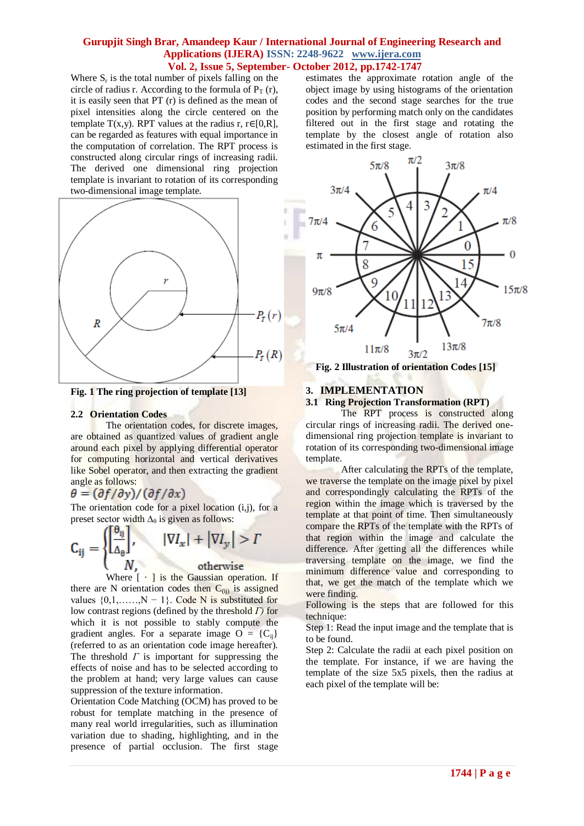Where  $S_r$  is the total number of pixels falling on the circle of radius r. According to the formula of  $P_T(r)$ , it is easily seen that PT (r) is defined as the mean of pixel intensities along the circle centered on the template T(x,y). RPT values at the radius r,  $r \in [0,R]$ , can be regarded as features with equal importance in the computation of correlation. The RPT process is constructed along circular rings of increasing radii. The derived one dimensional ring projection template is invariant to rotation of its corresponding two-dimensional image template.



**Fig. 1 The ring projection of template [13]**

#### **2.2 Orientation Codes**

The orientation codes, for discrete images, are obtained as quantized values of gradient angle around each pixel by applying differential operator for computing horizontal and vertical derivatives like Sobel operator, and then extracting the gradient angle as follows:

## $\theta = \frac{\partial f}{\partial y} / \frac{\partial f}{\partial x}$

The orientation code for a pixel location  $(i,j)$ , for a preset sector width  $\Delta_{\theta}$  is given as follows:

$$
\mathbf{C}_{ij} = \begin{cases} \left[\frac{\mathbf{\theta}_{ij}}{\Delta_{\theta}}\right], & |\nabla I_x| + |\nabla I_y| > \Gamma \\ N & \text{otherwise} \end{cases}
$$

Where  $\lceil \cdot \rceil$  is the Gaussian operation. If

there are N orientation codes then  $C_{(ii)}$  is assigned values  $\{0,1,\ldots,N-1\}$ . Code N is substituted for low contrast regions (defined by the threshold *Г)* for which it is not possible to stably compute the gradient angles. For a separate image  $O = \{C_{ii}\}\$ (referred to as an orientation code image hereafter). The threshold  $\Gamma$  is important for suppressing the effects of noise and has to be selected according to the problem at hand; very large values can cause suppression of the texture information.

Orientation Code Matching (OCM) has proved to be robust for template matching in the presence of many real world irregularities, such as illumination variation due to shading, highlighting, and in the presence of partial occlusion. The first stage estimates the approximate rotation angle of the object image by using histograms of the orientation codes and the second stage searches for the true position by performing match only on the candidates filtered out in the first stage and rotating the template by the closest angle of rotation also estimated in the first stage.



**Fig. 2 Illustration of orientation Codes [15]**

## **3. IMPLEMENTATION**

## **3.1 Ring Projection Transformation (RPT)**

The RPT process is constructed along circular rings of increasing radii. The derived onedimensional ring projection template is invariant to rotation of its corresponding two-dimensional image template.

After calculating the RPTs of the template, we traverse the template on the image pixel by pixel and correspondingly calculating the RPTs of the region within the image which is traversed by the template at that point of time. Then simultaneously compare the RPTs of the template with the RPTs of that region within the image and calculate the difference. After getting all the differences while traversing template on the image, we find the minimum difference value and corresponding to that, we get the match of the template which we were finding.

Following is the steps that are followed for this technique:

Step 1: Read the input image and the template that is to be found.

Step 2: Calculate the radii at each pixel position on the template. For instance, if we are having the template of the size 5x5 pixels, then the radius at each pixel of the template will be: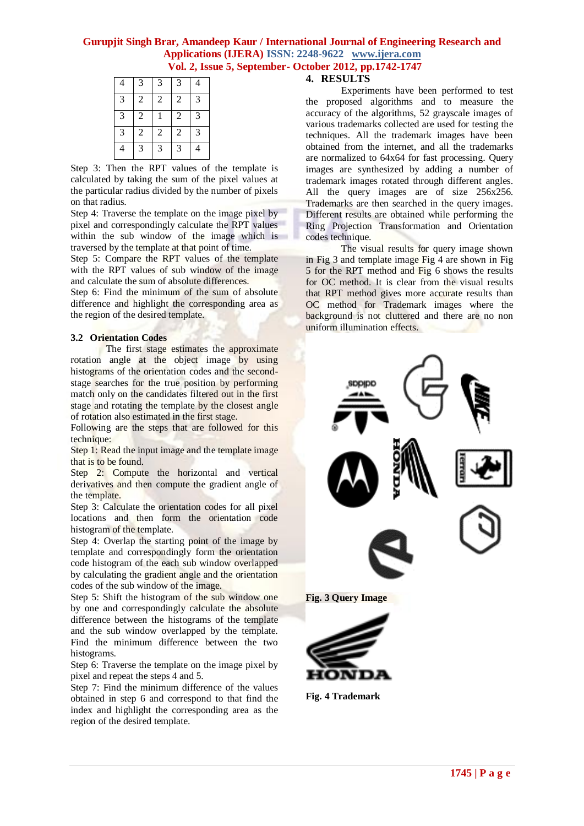| 4                        | 3              | 3          | 3              | 4 |
|--------------------------|----------------|------------|----------------|---|
| 3                        | $\overline{2}$ | $\sqrt{2}$ | $\overline{2}$ | 3 |
| $\overline{3}$           | $\overline{2}$ |            | $\overline{2}$ | 3 |
| $\overline{3}$           | $\overline{2}$ | $\sqrt{2}$ | $\overline{2}$ | 3 |
| $\overline{\mathcal{L}}$ | 3              | 3          | 3              | 4 |

Step 3: Then the RPT values of the template is calculated by taking the sum of the pixel values at the particular radius divided by the number of pixels on that radius.

Step 4: Traverse the template on the image pixel by pixel and correspondingly calculate the RPT values within the sub window of the image which is traversed by the template at that point of time.

Step 5: Compare the RPT values of the template with the RPT values of sub window of the image and calculate the sum of absolute differences.

Step 6: Find the minimum of the sum of absolute difference and highlight the corresponding area as the region of the desired template.

#### **3.2 Orientation Codes**

The first stage estimates the approximate rotation angle at the object image by using histograms of the orientation codes and the secondstage searches for the true position by performing match only on the candidates filtered out in the first stage and rotating the template by the closest angle of rotation also estimated in the first stage.

Following are the steps that are followed for this technique:

Step 1: Read the input image and the template image that is to be found.

Step 2: Compute the horizontal and vertical derivatives and then compute the gradient angle of the template.

Step 3: Calculate the orientation codes for all pixel locations and then form the orientation code histogram of the template.

Step 4: Overlap the starting point of the image by template and correspondingly form the orientation code histogram of the each sub window overlapped by calculating the gradient angle and the orientation codes of the sub window of the image.

Step 5: Shift the histogram of the sub window one by one and correspondingly calculate the absolute difference between the histograms of the template and the sub window overlapped by the template. Find the minimum difference between the two histograms.

Step 6: Traverse the template on the image pixel by pixel and repeat the steps 4 and 5.

Step 7: Find the minimum difference of the values obtained in step 6 and correspond to that find the index and highlight the corresponding area as the region of the desired template.

## **4. RESULTS**

Experiments have been performed to test the proposed algorithms and to measure the accuracy of the algorithms, 52 grayscale images of various trademarks collected are used for testing the techniques. All the trademark images have been obtained from the internet, and all the trademarks are normalized to 64x64 for fast processing. Query images are synthesized by adding a number of trademark images rotated through different angles. All the query images are of size 256x256. Trademarks are then searched in the query images. Different results are obtained while performing the Ring Projection Transformation and Orientation codes technique.

The visual results for query image shown in Fig 3 and template image Fig 4 are shown in Fig 5 for the RPT method and Fig 6 shows the results for OC method. It is clear from the visual results that RPT method gives more accurate results than OC method for Trademark images where the background is not cluttered and there are no non uniform illumination effects.



**Fig. 4 Trademark**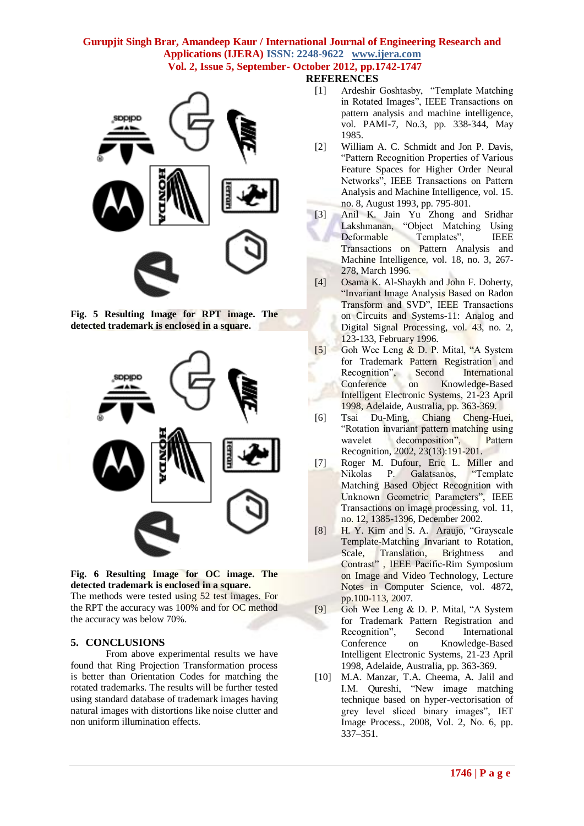

**SDDIDD** 







The methods were tested using 52 test images. For the RPT the accuracy was 100% and for OC method the accuracy was below 70%.

## **5. CONCLUSIONS**

From above experimental results we have found that Ring Projection Transformation process is better than Orientation Codes for matching the rotated trademarks. The results will be further tested using standard database of trademark images having natural images with distortions like noise clutter and non uniform illumination effects.

- [1] Ardeshir Goshtasby, "Template Matching in Rotated Images", IEEE Transactions on pattern analysis and machine intelligence, vol. PAMI-7, No.3, pp. 338-344, May 1985.
- [2] William A. C. Schmidt and Jon P. Davis, "Pattern Recognition Properties of Various Feature Spaces for Higher Order Neural Networks", IEEE Transactions on Pattern Analysis and Machine Intelligence, vol. 15. no. 8, August 1993, pp. 795-801.
- [3] Anil K. Jain Yu Zhong and Sridhar Lakshmanan, "Object Matching Using Deformable Templates", IEEE Transactions on Pattern Analysis and Machine Intelligence, vol. 18, no. 3, 267- 278, March 1996.
	- [4] Osama K. Al-Shaykh and John F. Doherty, "Invariant Image Analysis Based on Radon Transform and SVD", IEEE Transactions on Circuits and Systems-11: Analog and Digital Signal Processing, vol. 43, no. 2, 123-133, February 1996.
	- [5] Goh Wee Leng & D. P. Mital, "A System for Trademark Pattern Registration and Recognition", Second International Conference on Knowledge-Based Intelligent Electronic Systems, 21-23 April 1998, Adelaide, Australia, pp. 363-369.
	- [6] Tsai Du-Ming, Chiang Cheng-Huei, "Rotation invariant pattern matching using wavelet decomposition", Pattern Recognition, 2002, 23(13):191-201.
- [7] Roger M. Dufour, Eric L. Miller and Nikolas P. Galatsanos, "Template Matching Based Object Recognition with Unknown Geometric Parameters", IEEE Transactions on image processing, vol. 11, no. 12, 1385-1396, December 2002.
- [8] H. Y. Kim and S. A. Araujo, "Grayscale Template-Matching Invariant to Rotation, Scale, Translation, Brightness and Contrast" , IEEE Pacific-Rim Symposium on Image and Video Technology, Lecture Notes in Computer Science, vol. 4872, pp.100-113, 2007.
- [9] Goh Wee Leng & D. P. Mital, "A System for Trademark Pattern Registration and Recognition", Second International Conference on Knowledge-Based Intelligent Electronic Systems, 21-23 April 1998, Adelaide, Australia, pp. 363-369.
- [10] M.A. Manzar, T.A. Cheema, A. Jalil and I.M. Qureshi, "New image matching technique based on hyper-vectorisation of grey level sliced binary images", IET Image Process., 2008, Vol. 2, No. 6, pp. 337–351.